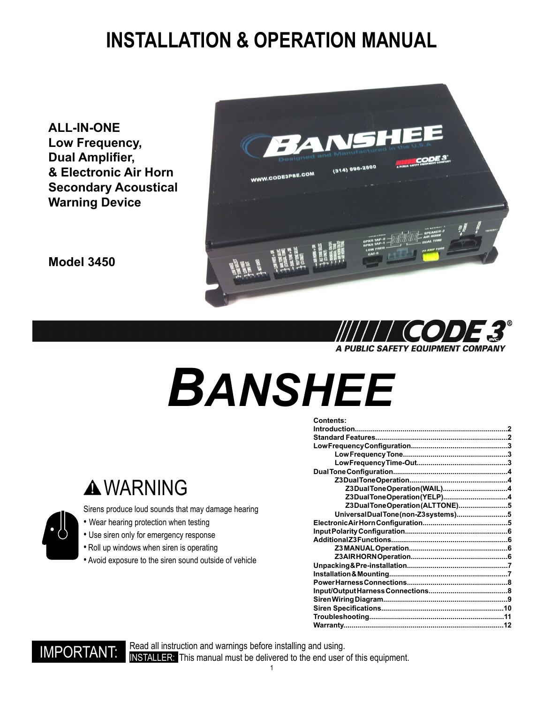### **INSTALLATION & OPERATION MANUAL**

**ALL-IN-ONE Low Frequency, Dual Amplifier, & Electronic Air Horn Secondary Acoustical Warning Device**

**Model 3450**





# *BANSHEE*

| <b>Contents:</b>                  |  |
|-----------------------------------|--|
|                                   |  |
|                                   |  |
|                                   |  |
|                                   |  |
|                                   |  |
|                                   |  |
|                                   |  |
| Z3DualToneOperation(WAIL)4        |  |
| Z3DualToneOperation(YELP)4        |  |
| Z3DualToneOperation(ALTTONE)5     |  |
| UniversalDualTone(non-Z3systems)5 |  |
|                                   |  |
|                                   |  |
|                                   |  |
|                                   |  |
|                                   |  |
|                                   |  |
|                                   |  |
|                                   |  |
|                                   |  |
|                                   |  |
|                                   |  |
|                                   |  |
|                                   |  |



### **A WARNING**

Sirens produce loud sounds that may damage hearing

- Wear hearing protection when testing
- Use siren only for emergency response
- Roll up windows when siren is operating
- Avoid exposure to the siren sound outside of vehicle

Read all instruction and warnings before installing and using. IMPORTANT: Read all instruction and warnings before installing and using.<br>IMPORTANT: INSTALLER: This manual must be delivered to the end user of this equipment.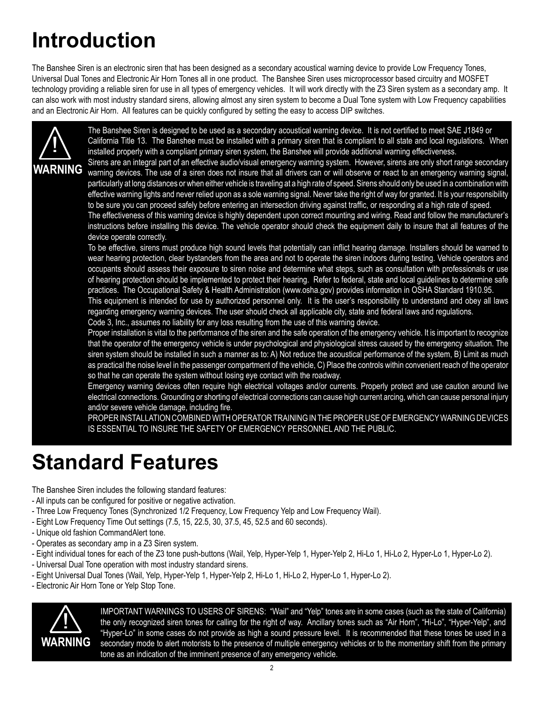### **Introduction**

The Banshee Siren is an electronic siren that has been designed as a secondary acoustical warning device to provide Low Frequency Tones, Universal Dual Tones and Electronic Air Horn Tones all in one product. The Banshee Siren uses microprocessor based circuitry and MOSFET technology providing a reliable siren for use in all types of emergency vehicles. It will work directly with the Z3 Siren system as a secondary amp. It can also work with most industry standard sirens, allowing almost any siren system to become a Dual Tone system with Low Frequency capabilities and an Electronic Air Horn. All features can be quickly configured by setting the easy to access DIP switches.



The Banshee Siren is designed to be used as a secondary acoustical warning device. It is not certified to meet SAE J1849 or California Title 13. The Banshee must be installed with a primary siren that is compliant to all state and local regulations. When installed properly with a compliant primary siren system, the Banshee will provide additional warning effectiveness.

Sirens are an integral part of an effective audio/visual emergency warning system. However, sirens are only short range secondary WARNING warning devices. The use of a siren does not insure that all drivers can or will observe or react to an emergency warning signal, particularly at long distances or when either vehicle is traveling at a high rate of speed. Sirens should only be used in a combination with effective warning lights and never relied upon as a sole warning signal. Never take the right of way for granted. It is your responsibility to be sure you can proceed safely before entering an intersection driving against traffic, or responding at a high rate of speed.

The effectiveness of this warning device is highly dependent upon correct mounting and wiring. Read and follow the manufacturer's instructions before installing this device. The vehicle operator should check the equipment daily to insure that all features of the device operate correctly.

To be effective, sirens must produce high sound levels that potentially can inflict hearing damage. Installers should be warned to wear hearing protection, clear bystanders from the area and not to operate the siren indoors during testing. Vehicle operators and occupants should assess their exposure to siren noise and determine what steps, such as consultation with professionals or use of hearing protection should be implemented to protect their hearing. Refer to federal, state and local guidelines to determine safe practices. The Occupational Safety & Health Administration (www.osha.gov) provides information in OSHA Standard 1910.95.

This equipment is intended for use by authorized personnel only. It is the user's responsibility to understand and obey all laws regarding emergency warning devices. The user should check all applicable city, state and federal laws and regulations.

Code 3, Inc., assumes no liability for any loss resulting from the use of this warning device.

Proper installation is vital to the performance of the siren and the safe operation of the emergency vehicle. It is important to recognize that the operator of the emergency vehicle is under psychological and physiological stress caused by the emergency situation. The siren system should be installed in such a manner as to: A) Not reduce the acoustical performance of the system, B) Limit as much as practical the noise level in the passenger compartment of the vehicle, C) Place the controls within convenient reach of the operator so that he can operate the system without losing eye contact with the roadway.

Emergency warning devices often require high electrical voltages and/or currents. Properly protect and use caution around live electrical connections. Grounding or shorting of electrical connections can cause high current arcing, which can cause personal injury and/or severe vehicle damage, including fire.

PROPER INSTALLATION COMBINED WITH OPERATOR TRAINING IN THE PROPER USE OF EMERGENCY WARNING DEVICES IS ESSENTIAL TO INSURE THE SAFETY OF EMERGENCY PERSONNEL AND THE PUBLIC.

### **Standard Features**

The Banshee Siren includes the following standard features:

- All inputs can be configured for positive or negative activation.
- Three Low Frequency Tones (Synchronized 1/2 Frequency, Low Frequency Yelp and Low Frequency Wail).
- Eight Low Frequency Time Out settings (7.5, 15, 22.5, 30, 37.5, 45, 52.5 and 60 seconds).
- Unique old fashion CommandAlert tone.
- Operates as secondary amp in a Z3 Siren system.
- Eight individual tones for each of the Z3 tone push-buttons (Wail, Yelp, Hyper-Yelp 1, Hyper-Yelp 2, Hi-Lo 1, Hi-Lo 2, Hyper-Lo 1, Hyper-Lo 2).
- Universal Dual Tone operation with most industry standard sirens.
- Eight Universal Dual Tones (Wail, Yelp, Hyper-Yelp 1, Hyper-Yelp 2, Hi-Lo 1, Hi-Lo 2, Hyper-Lo 1, Hyper-Lo 2).
- Electronic Air Horn Tone or Yelp Stop Tone.



! IMPORTANT WARNINGS TO USERS OF SIRENS: "Wail" and "Yelp" tones are in some cases (such as the state of California) the only recognized siren tones for calling for the right of way. Ancillary tones such as "Air Horn", "Hi-Lo", "Hyper-Yelp", and "Hyper-Lo" in some cases do not provide as high a sound pressure level. It is recommended that these tones be used in a secondary mode to alert motorists to the presence of multiple emergency vehicles or to the momentary shift from the primary tone as an indication of the imminent presence of any emergency vehicle.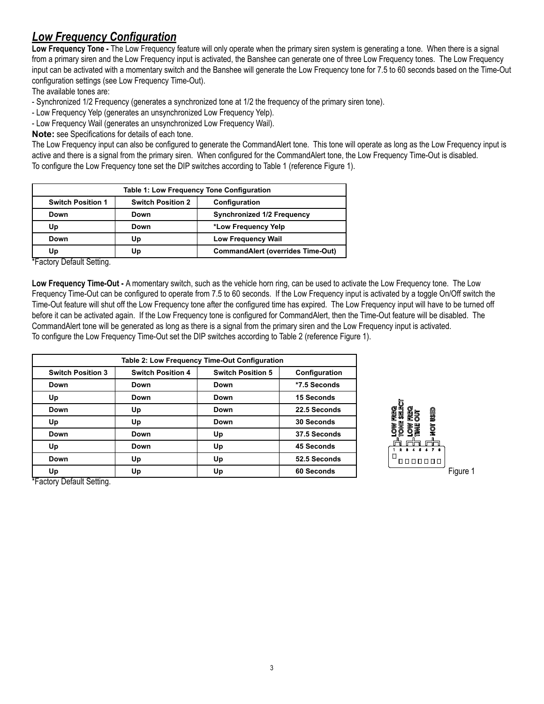### *Low Frequency Configuration*

**Low Frequency Tone -** The Low Frequency feature will only operate when the primary siren system is generating a tone. When there is a signal from a primary siren and the Low Frequency input is activated, the Banshee can generate one of three Low Frequency tones. The Low Frequency input can be activated with a momentary switch and the Banshee will generate the Low Frequency tone for 7.5 to 60 seconds based on the Time-Out configuration settings (see Low Frequency Time-Out).

The available tones are:

- Synchronized 1/2 Frequency (generates a synchronized tone at 1/2 the frequency of the primary siren tone).

- Low Frequency Yelp (generates an unsynchronized Low Frequency Yelp).

- Low Frequency Wail (generates an unsynchronized Low Frequency Wail).

**Note:** see Specifications for details of each tone.

The Low Frequency input can also be configured to generate the CommandAlert tone. This tone will operate as long as the Low Frequency input is active and there is a signal from the primary siren. When configured for the CommandAlert tone, the Low Frequency Time-Out is disabled. To configure the Low Frequency tone set the DIP switches according to Table 1 (reference Figure 1).

| Table 1: Low Frequency Tone Configuration |                                           |                                          |  |
|-------------------------------------------|-------------------------------------------|------------------------------------------|--|
| <b>Switch Position 1</b>                  | <b>Switch Position 2</b><br>Configuration |                                          |  |
| Down                                      | Down                                      | <b>Synchronized 1/2 Frequency</b>        |  |
| Up<br>Down                                |                                           | *Low Frequency Yelp                      |  |
| Down                                      | Up                                        | <b>Low Frequency Wail</b>                |  |
| Up                                        | Up                                        | <b>CommandAlert (overrides Time-Out)</b> |  |

\*Factory Default Setting.

Low Frequency Time-Out - A momentary switch, such as the vehicle horn ring, can be used to activate the Low Frequency tone. The Low Frequency Time-Out can be configured to operate from 7.5 to 60 seconds. If the Low Frequency input is activated by a toggle On/Off switch the Time-Out feature will shut off the Low Frequency tone after the configured time has expired. The Low Frequency input will have to be turned off before it can be activated again. If the Low Frequency tone is configured for CommandAlert, then the Time-Out feature will be disabled. The CommandAlert tone will be generated as long as there is a signal from the primary siren and the Low Frequency input is activated. To configure the Low Frequency Time-Out set the DIP switches according to Table 2 (reference Figure 1).

|                          |                          | Table 2: Low Frequency Time-Out Configuration |               |
|--------------------------|--------------------------|-----------------------------------------------|---------------|
| <b>Switch Position 3</b> | <b>Switch Position 4</b> | <b>Switch Position 5</b>                      | Configuration |
| Down                     | Down                     | Down                                          | *7.5 Seconds  |
| Up                       | Down                     | Down                                          | 15 Seconds    |
| Down                     | Up                       | Down                                          | 22.5 Seconds  |
| Up                       | Up                       | Down                                          | 30 Seconds    |
| Down                     | Down                     | Up                                            | 37.5 Seconds  |
| Up                       | Down                     | Up                                            | 45 Seconds    |
| Down                     | Up                       | Up                                            | 52.5 Seconds  |
| Up                       | Up                       | Up                                            | 60 Seconds    |



\*Factory Default Setting.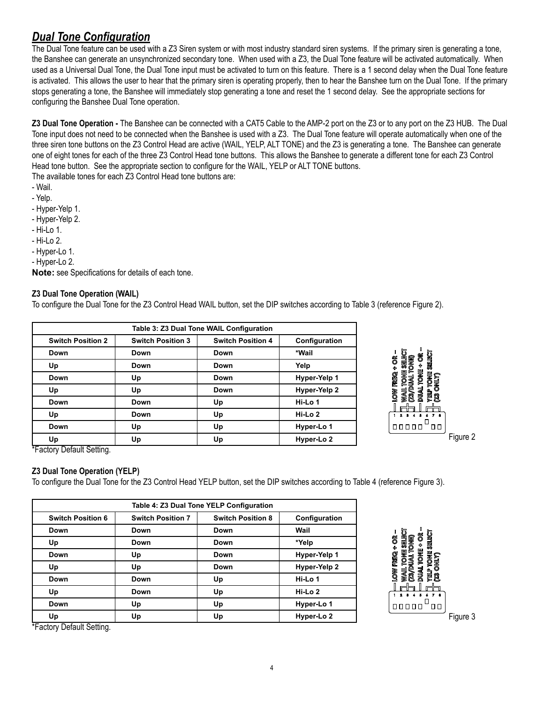#### *Dual Tone Configuration*

The Dual Tone feature can be used with a Z3 Siren system or with most industry standard siren systems. If the primary siren is generating a tone, the Banshee can generate an unsynchronized secondary tone. When used with a Z3, the Dual Tone feature will be activated automatically. When used as a Universal Dual Tone, the Dual Tone input must be activated to turn on this feature. There is a 1 second delay when the Dual Tone feature is activated. This allows the user to hear that the primary siren is operating properly, then to hear the Banshee turn on the Dual Tone. If the primary stops generating a tone, the Banshee will immediately stop generating a tone and reset the 1 second delay. See the appropriate sections for configuring the Banshee Dual Tone operation.

**Z3 Dual Tone Operation -** The Banshee can be connected with a CAT5 Cable to the AMP-2 port on the Z3 or to any port on the Z3 HUB. The Dual Tone input does not need to be connected when the Banshee is used with a Z3. The Dual Tone feature will operate automatically when one of the three siren tone buttons on the Z3 Control Head are active (WAIL, YELP, ALT TONE) and the Z3 is generating a tone. The Banshee can generate one of eight tones for each of the three Z3 Control Head tone buttons. This allows the Banshee to generate a different tone for each Z3 Control Head tone button. See the appropriate section to configure for the WAIL, YELP or ALT TONE buttons.

The available tones for each Z3 Control Head tone buttons are:

- Wail.
- Yelp.
- Hyper-Yelp 1.
- Hyper-Yelp 2.
- Hi-Lo 1.
- Hi-Lo 2.
- Hyper-Lo 1.
- Hyper-Lo 2.

**Note:** see Specifications for details of each tone.

#### **Z3 Dual Tone Operation (WAIL)**

To configure the Dual Tone for the Z3 Control Head WAIL button, set the DIP switches according to Table 3 (reference Figure 2).

|                          |                          | Table 3: Z3 Dual Tone WAIL Configuration |               |
|--------------------------|--------------------------|------------------------------------------|---------------|
| <b>Switch Position 2</b> | <b>Switch Position 3</b> | <b>Switch Position 4</b>                 | Configuration |
| Down                     | Down                     | Down                                     | *Wail         |
| Up                       | Down                     | Down                                     | Yelp          |
| Down                     | Up                       | Down                                     | Hyper-Yelp 1  |
| Up                       | Up                       | Down                                     | Hyper-Yelp 2  |
| Down                     | Down                     | Up                                       | Hi-Lo 1       |
| Up                       | Down                     | Up                                       | Hi-Lo 2       |
| Down                     | Up                       | Up                                       | Hyper-Lo 1    |
| Up                       | Up                       | Up                                       | Hyper-Lo 2    |



\*Factory Default Setting.

#### **Z3 Dual Tone Operation (YELP)**

To configure the Dual Tone for the Z3 Control Head YELP button, set the DIP switches according to Table 4 (reference Figure 3).

| Table 4: Z3 Dual Tone YELP Configuration |                          |                          |                       |
|------------------------------------------|--------------------------|--------------------------|-----------------------|
| <b>Switch Position 6</b>                 | <b>Switch Position 7</b> | <b>Switch Position 8</b> | Configuration         |
| Down                                     | Down                     | Down                     | Wail                  |
| Up                                       | Down                     | Down                     | *Yelp                 |
| Down                                     | Up                       | Down                     | Hyper-Yelp 1          |
| Up                                       | Up                       | Down                     | Hyper-Yelp 2          |
| Down                                     | Down                     | Up                       | Hi-Lo 1               |
| Up                                       | Down                     | Up                       | Hi-Lo 2               |
| Down                                     | Up                       | Up                       | Hyper-Lo 1            |
| Up                                       | Up                       | Up                       | Hyper-Lo <sub>2</sub> |



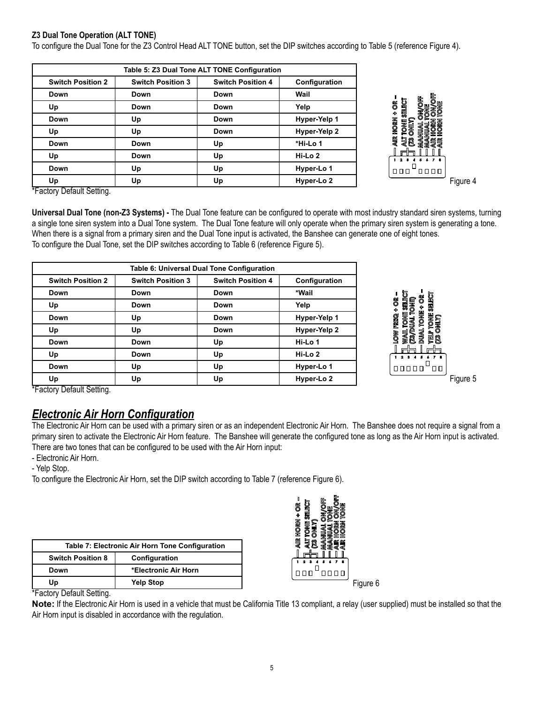#### **Z3 Dual Tone Operation (ALT TONE)**

To configure the Dual Tone for the Z3 Control Head ALT TONE button, set the DIP switches according to Table 5 (reference Figure 4).

|                          |                          | Table 5: Z3 Dual Tone ALT TONE Configuration |               |                                             |
|--------------------------|--------------------------|----------------------------------------------|---------------|---------------------------------------------|
| <b>Switch Position 2</b> | <b>Switch Position 3</b> | <b>Switch Position 4</b>                     | Configuration |                                             |
| Down                     | Down                     | Down                                         | Wail          |                                             |
| Up                       | Down                     | Down                                         | Yelp          | ON/OFF<br>TONE<br><b>DFF</b><br>SELECT<br>õ |
| Down                     | Up                       | Down                                         | Hyper-Yelp 1  | 4<br><b>MAN</b><br>ᆗ                        |
| Up                       | Up                       | Down                                         | Hyper-Yelp 2  | HORN<br>ONLY)<br>TONE<br>₽                  |
| Down                     | Down                     | Up                                           | *Hi-Lo 1      | <b>AJIR</b><br>alt<br>Cz<br><b>SSEE</b>     |
| Up                       | Down                     | Up                                           | Hi-Lo 2       | 4 5 6 7 8<br>1.2.3                          |
| Down                     | Up                       | Up                                           | Hyper-Lo 1    | "oooo<br>$\Box$ $\Box$                      |
| Up                       | Up                       | Up                                           | Hyper-Lo 2    | Figure 4                                    |

\*Factory Default Setting.

**Universal Dual Tone (non-Z3 Systems) -** The Dual Tone feature can be configured to operate with most industry standard siren systems, turning a single tone siren system into a Dual Tone system. The Dual Tone feature will only operate when the primary siren system is generating a tone. When there is a signal from a primary siren and the Dual Tone input is activated, the Banshee can generate one of eight tones. To configure the Dual Tone, set the DIP switches according to Table 6 (reference Figure 5).

| Table 6: Universal Dual Tone Configuration |                          |                          |                       |
|--------------------------------------------|--------------------------|--------------------------|-----------------------|
| <b>Switch Position 2</b>                   | <b>Switch Position 3</b> | <b>Switch Position 4</b> | Configuration         |
| Down                                       | Down                     | Down                     | *Wail                 |
| Up                                         | Down                     | Down                     | Yelp                  |
| Down                                       | Up                       | Down                     | Hyper-Yelp 1          |
| Up                                         | Up                       | Down                     | Hyper-Yelp 2          |
| Down                                       | Down                     | Up                       | Hi-Lo 1               |
| Up                                         | Down                     | Up                       | Hi-Lo 2               |
| Down                                       | Up                       | Up                       | Hyper-Lo 1            |
| Up                                         | Up                       | Up                       | Hyper-Lo <sub>2</sub> |



\*Factory Default Setting.

#### *Electronic Air Horn Configuration*

The Electronic Air Horn can be used with a primary siren or as an independent Electronic Air Horn. The Banshee does not require a signal from a primary siren to activate the Electronic Air Horn feature. The Banshee will generate the configured tone as long as the Air Horn input is activated. There are two tones that can be configured to be used with the Air Horn input:

- Electronic Air Horn.

- Yelp Stop.

To configure the Electronic Air Horn, set the DIP switch according to Table 7 (reference Figure 6).

| Table 7: Electronic Air Horn Tone Configuration |                      |  |
|-------------------------------------------------|----------------------|--|
| <b>Switch Position 8</b>                        | Configuration        |  |
| Down                                            | *Electronic Air Horn |  |
| Up                                              | <b>Yelp Stop</b>     |  |



\*Factory Default Setting.

**Note:** If the Electronic Air Horn is used in a vehicle that must be California Title 13 compliant, a relay (user supplied) must be installed so that the Air Horn input is disabled in accordance with the regulation.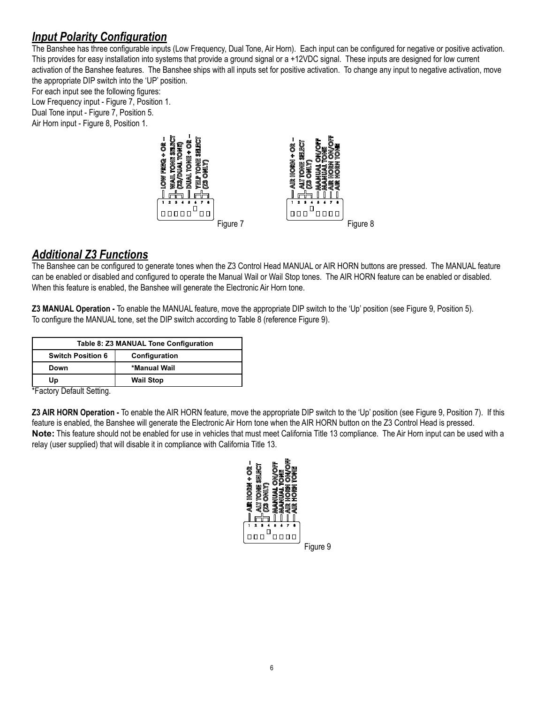#### *Input Polarity Configuration*

The Banshee has three configurable inputs (Low Frequency, Dual Tone, Air Horn). Each input can be configured for negative or positive activation. This provides for easy installation into systems that provide a ground signal or a +12VDC signal. These inputs are designed for low current activation of the Banshee features. The Banshee ships with all inputs set for positive activation. To change any input to negative activation, move the appropriate DIP switch into the 'UP' position.

For each input see the following figures: Low Frequency input - Figure 7, Position 1. Dual Tone input - Figure 7, Position 5. Air Horn input - Figure 8, Position 1.



#### *Additional Z3 Functions*

The Banshee can be configured to generate tones when the Z3 Control Head MANUAL or AIR HORN buttons are pressed. The MANUAL feature can be enabled or disabled and configured to operate the Manual Wail or Wail Stop tones. The AIR HORN feature can be enabled or disabled. When this feature is enabled, the Banshee will generate the Electronic Air Horn tone.

**Z3 MANUAL Operation -** To enable the MANUAL feature, move the appropriate DIP switch to the 'Up' position (see Figure 9, Position 5). To configure the MANUAL tone, set the DIP switch according to Table 8 (reference Figure 9).

| Table 8: Z3 MANUAL Tone Configuration |                  |  |
|---------------------------------------|------------------|--|
| <b>Switch Position 6</b>              | Configuration    |  |
| Down                                  | *Manual Wail     |  |
| Up                                    | <b>Wail Stop</b> |  |

\*Factory Default Setting.

**Z3 AIR HORN Operation -** To enable the AIR HORN feature, move the appropriate DIP switch to the 'Up' position (see Figure 9, Position 7). If this feature is enabled, the Banshee will generate the Electronic Air Horn tone when the AIR HORN button on the Z3 Control Head is pressed. **Note:** This feature should not be enabled for use in vehicles that must meet California Title 13 compliance. The Air Horn input can be used with a relay (user supplied) that will disable it in compliance with California Title 13.

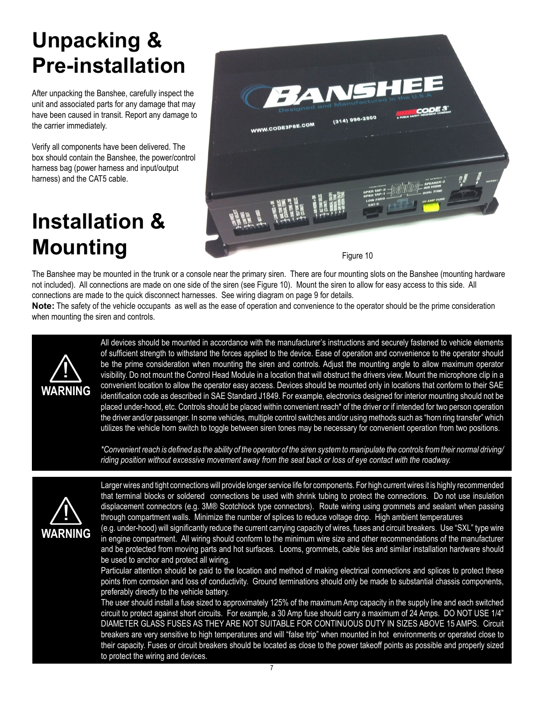### **Unpacking & Pre-installation**

After unpacking the Banshee, carefully inspect the unit and associated parts for any damage that may have been caused in transit. Report any damage to the carrier immediately.

Verify all components have been delivered. The box should contain the Banshee, the power/control harness bag (power harness and input/output harness) and the CAT5 cable.

### **Installation & Mounting**



The Banshee may be mounted in the trunk or a console near the primary siren. There are four mounting slots on the Banshee (mounting hardware not included). All connections are made on one side of the siren (see Figure 10). Mount the siren to allow for easy access to this side. All connections are made to the quick disconnect harnesses. See wiring diagram on page 9 for details.

**Note:** The safety of the vehicle occupants as well as the ease of operation and convenience to the operator should be the prime consideration when mounting the siren and controls.



All devices should be mounted in accordance with the manufacturer's instructions and securely fastened to vehicle elements of sufficient strength to withstand the forces applied to the device. Ease of operation and convenience to the operator should be the prime consideration when mounting the siren and controls. Adjust the mounting angle to allow maximum operator visibility. Do not mount the Control Head Module in a location that will obstruct the drivers view. Mount the microphone clip in a convenient location to allow the operator easy access. Devices should be mounted only in locations that conform to their SAE identification code as described in SAE Standard J1849. For example, electronics designed for interior mounting should not be placed under-hood, etc. Controls should be placed within convenient reach\* of the driver or if intended for two person operation the driver and/or passenger. In some vehicles, multiple control switches and/or using methods such as "horn ring transfer" which utilizes the vehicle horn switch to toggle between siren tones may be necessary for convenient operation from two positions.

*\*Convenient reach is defined as the ability of the operator of the siren system to manipulate the controls from their normal driving/ riding position without excessive movement away from the seat back or loss of eye contact with the roadway.*



Larger wires and tight connections will provide longer service life for components. For high current wires it is highly recommended that terminal blocks or soldered connections be used with shrink tubing to protect the connections. Do not use insulation displacement connectors (e.g. 3M® Scotchlock type connectors). Route wiring using grommets and sealant when passing through compartment walls. Minimize the number of splices to reduce voltage drop. High ambient temperatures

(e.g. under-hood) will significantly reduce the current carrying capacity of wires, fuses and circuit breakers. Use "SXL" type wire in engine compartment. All wiring should conform to the minimum wire size and other recommendations of the manufacturer and be protected from moving parts and hot surfaces. Looms, grommets, cable ties and similar installation hardware should be used to anchor and protect all wiring.

Particular attention should be paid to the location and method of making electrical connections and splices to protect these points from corrosion and loss of conductivity. Ground terminations should only be made to substantial chassis components, preferably directly to the vehicle battery.

The user should install a fuse sized to approximately 125% of the maximum Amp capacity in the supply line and each switched circuit to protect against short circuits. For example, a 30 Amp fuse should carry a maximum of 24 Amps. DO NOT USE 1/4" DIAMETER GLASS FUSES AS THEY ARE NOT SUITABLE FOR CONTINUOUS DUTY IN SIZES ABOVE 15 AMPS. Circuit breakers are very sensitive to high temperatures and will "false trip" when mounted in hot environments or operated close to their capacity. Fuses or circuit breakers should be located as close to the power takeoff points as possible and properly sized to protect the wiring and devices.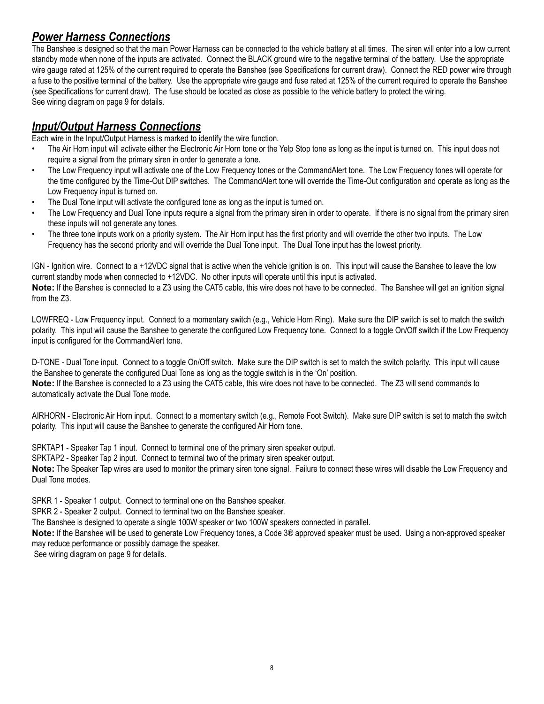#### *Power Harness Connections*

The Banshee is designed so that the main Power Harness can be connected to the vehicle battery at all times. The siren will enter into a low current standby mode when none of the inputs are activated. Connect the BLACK ground wire to the negative terminal of the battery. Use the appropriate wire gauge rated at 125% of the current required to operate the Banshee (see Specifications for current draw). Connect the RED power wire through a fuse to the positive terminal of the battery. Use the appropriate wire gauge and fuse rated at 125% of the current required to operate the Banshee (see Specifications for current draw). The fuse should be located as close as possible to the vehicle battery to protect the wiring. See wiring diagram on page 9 for details.

#### *Input/Output Harness Connections*

Each wire in the Input/Output Harness is marked to identify the wire function.

- The Air Horn input will activate either the Electronic Air Horn tone or the Yelp Stop tone as long as the input is turned on. This input does not require a signal from the primary siren in order to generate a tone.
- The Low Frequency input will activate one of the Low Frequency tones or the CommandAlert tone. The Low Frequency tones will operate for the time configured by the Time-Out DIP switches. The CommandAlert tone will override the Time-Out configuration and operate as long as the Low Frequency input is turned on.
- The Dual Tone input will activate the configured tone as long as the input is turned on.
- The Low Frequency and Dual Tone inputs require a signal from the primary siren in order to operate. If there is no signal from the primary siren these inputs will not generate any tones.
- The three tone inputs work on a priority system. The Air Horn input has the first priority and will override the other two inputs. The Low Frequency has the second priority and will override the Dual Tone input. The Dual Tone input has the lowest priority.

IGN - Ignition wire. Connect to a +12VDC signal that is active when the vehicle ignition is on. This input will cause the Banshee to leave the low current standby mode when connected to +12VDC. No other inputs will operate until this input is activated.

**Note:** If the Banshee is connected to a Z3 using the CAT5 cable, this wire does not have to be connected. The Banshee will get an ignition signal from the Z3.

LOWFREQ - Low Frequency input. Connect to a momentary switch (e.g., Vehicle Horn Ring). Make sure the DIP switch is set to match the switch polarity. This input will cause the Banshee to generate the configured Low Frequency tone. Connect to a toggle On/Off switch if the Low Frequency input is configured for the CommandAlert tone.

D-TONE - Dual Tone input. Connect to a toggle On/Off switch. Make sure the DIP switch is set to match the switch polarity. This input will cause the Banshee to generate the configured Dual Tone as long as the toggle switch is in the 'On' position. **Note:** If the Banshee is connected to a Z3 using the CAT5 cable, this wire does not have to be connected. The Z3 will send commands to automatically activate the Dual Tone mode.

AIRHORN - Electronic Air Horn input. Connect to a momentary switch (e.g., Remote Foot Switch). Make sure DIP switch is set to match the switch polarity. This input will cause the Banshee to generate the configured Air Horn tone.

SPKTAP1 - Speaker Tap 1 input. Connect to terminal one of the primary siren speaker output.

SPKTAP2 - Speaker Tap 2 input. Connect to terminal two of the primary siren speaker output.

**Note:** The Speaker Tap wires are used to monitor the primary siren tone signal. Failure to connect these wires will disable the Low Frequency and Dual Tone modes.

SPKR 1 - Speaker 1 output. Connect to terminal one on the Banshee speaker.

SPKR 2 - Speaker 2 output. Connect to terminal two on the Banshee speaker.

The Banshee is designed to operate a single 100W speaker or two 100W speakers connected in parallel.

**Note:** If the Banshee will be used to generate Low Frequency tones, a Code 3® approved speaker must be used. Using a non-approved speaker may reduce performance or possibly damage the speaker.

See wiring diagram on page 9 for details.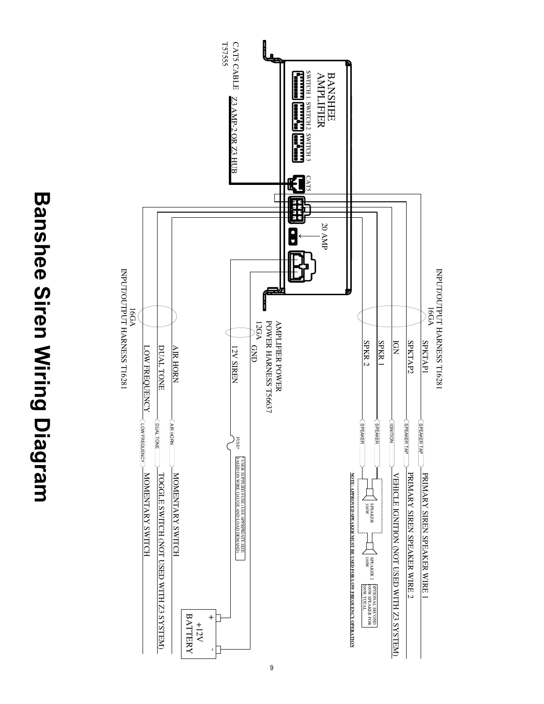**Banshee Siren Wiring Diagram Banshee Siren Wiring Diagram**



9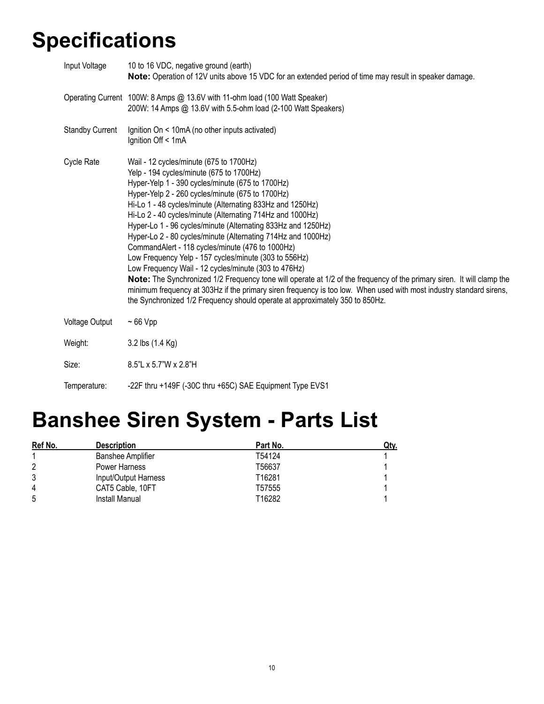### **Specifications**

| Input Voltage          | 10 to 16 VDC, negative ground (earth)<br>Note: Operation of 12V units above 15 VDC for an extended period of time may result in speaker damage.                                                                                                                                                                                                                                                                                                                                                                                                                                                                                                                                                                                                                                                                                                                                                                                                                    |
|------------------------|--------------------------------------------------------------------------------------------------------------------------------------------------------------------------------------------------------------------------------------------------------------------------------------------------------------------------------------------------------------------------------------------------------------------------------------------------------------------------------------------------------------------------------------------------------------------------------------------------------------------------------------------------------------------------------------------------------------------------------------------------------------------------------------------------------------------------------------------------------------------------------------------------------------------------------------------------------------------|
|                        | Operating Current 100W: 8 Amps @ 13.6V with 11-ohm load (100 Watt Speaker)<br>200W: 14 Amps @ 13.6V with 5.5-ohm load (2-100 Watt Speakers)                                                                                                                                                                                                                                                                                                                                                                                                                                                                                                                                                                                                                                                                                                                                                                                                                        |
| <b>Standby Current</b> | Ignition On < 10mA (no other inputs activated)<br>Ignition Off < 1mA                                                                                                                                                                                                                                                                                                                                                                                                                                                                                                                                                                                                                                                                                                                                                                                                                                                                                               |
| Cycle Rate             | Wail - 12 cycles/minute (675 to 1700Hz)<br>Yelp - 194 cycles/minute (675 to 1700Hz)<br>Hyper-Yelp 1 - 390 cycles/minute (675 to 1700Hz)<br>Hyper-Yelp 2 - 260 cycles/minute (675 to 1700Hz)<br>Hi-Lo 1 - 48 cycles/minute (Alternating 833Hz and 1250Hz)<br>Hi-Lo 2 - 40 cycles/minute (Alternating 714Hz and 1000Hz)<br>Hyper-Lo 1 - 96 cycles/minute (Alternating 833Hz and 1250Hz)<br>Hyper-Lo 2 - 80 cycles/minute (Alternating 714Hz and 1000Hz)<br>CommandAlert - 118 cycles/minute (476 to 1000Hz)<br>Low Frequency Yelp - 157 cycles/minute (303 to 556Hz)<br>Low Frequency Wail - 12 cycles/minute (303 to 476Hz)<br><b>Note:</b> The Synchronized 1/2 Frequency tone will operate at 1/2 of the frequency of the primary siren. It will clamp the<br>minimum frequency at 303Hz if the primary siren frequency is too low. When used with most industry standard sirens,<br>the Synchronized 1/2 Frequency should operate at approximately 350 to 850Hz. |
| <b>Voltage Output</b>  | $~\sim$ 66 Vpp                                                                                                                                                                                                                                                                                                                                                                                                                                                                                                                                                                                                                                                                                                                                                                                                                                                                                                                                                     |
| Weight:                | 3.2 lbs (1.4 Kg)                                                                                                                                                                                                                                                                                                                                                                                                                                                                                                                                                                                                                                                                                                                                                                                                                                                                                                                                                   |
| Size:                  | 8.5"L x 5.7"W x 2.8"H                                                                                                                                                                                                                                                                                                                                                                                                                                                                                                                                                                                                                                                                                                                                                                                                                                                                                                                                              |
| Temperature:           | -22F thru +149F (-30C thru +65C) SAE Equipment Type EVS1                                                                                                                                                                                                                                                                                                                                                                                                                                                                                                                                                                                                                                                                                                                                                                                                                                                                                                           |

### **Banshee Siren System - Parts List**

| Ref No. | <b>Description</b>       | Part No. | <u>Qty.</u> |
|---------|--------------------------|----------|-------------|
|         | <b>Banshee Amplifier</b> | T54124   |             |
|         | Power Harness            | T56637   |             |
| 3       | Input/Output Harness     | T16281   |             |
| 4       | CAT5 Cable, 10FT         | T57555   |             |
| 5       | Install Manual           | T16282   |             |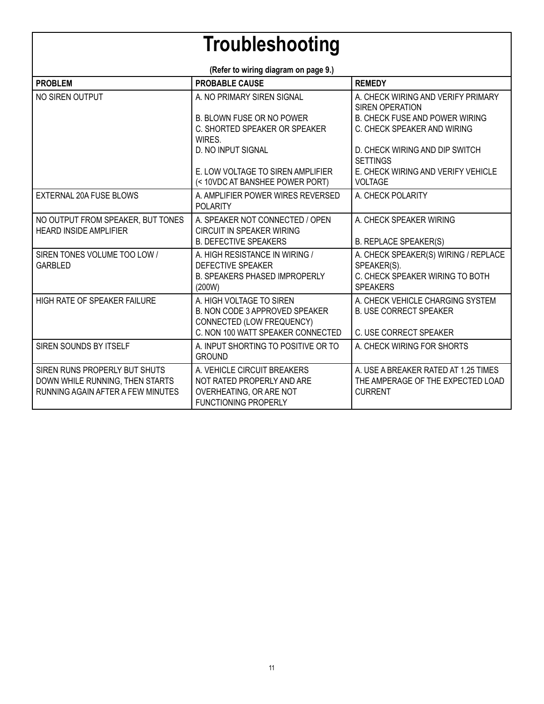### **Troubleshooting**

| (Refer to wiring diagram on page 9.)                                                                  |                                                                                                                              |                                                                                                           |  |  |
|-------------------------------------------------------------------------------------------------------|------------------------------------------------------------------------------------------------------------------------------|-----------------------------------------------------------------------------------------------------------|--|--|
| <b>PROBLEM</b>                                                                                        | <b>PROBABLE CAUSE</b>                                                                                                        | <b>REMEDY</b>                                                                                             |  |  |
| NO SIREN OUTPUT                                                                                       | A. NO PRIMARY SIREN SIGNAL                                                                                                   | A. CHECK WIRING AND VERIFY PRIMARY<br>SIREN OPERATION                                                     |  |  |
|                                                                                                       | <b>B. BLOWN FUSE OR NO POWER</b><br>C. SHORTED SPEAKER OR SPEAKER                                                            | <b>B. CHECK FUSE AND POWER WIRING</b><br>C. CHECK SPEAKER AND WIRING                                      |  |  |
|                                                                                                       | WIRES.<br><b>D. NO INPUT SIGNAL</b>                                                                                          | D. CHECK WIRING AND DIP SWITCH<br><b>SETTINGS</b>                                                         |  |  |
|                                                                                                       | E. LOW VOLTAGE TO SIREN AMPLIFIER<br>(< 10VDC AT BANSHEE POWER PORT)                                                         | E. CHECK WIRING AND VERIFY VEHICLE<br><b>VOLTAGE</b>                                                      |  |  |
| EXTERNAL 20A FUSE BLOWS                                                                               | A. AMPLIFIER POWER WIRES REVERSED<br><b>POLARITY</b>                                                                         | A. CHECK POLARITY                                                                                         |  |  |
| NO OUTPUT FROM SPEAKER, BUT TONES<br><b>HEARD INSIDE AMPLIFIER</b>                                    | A. SPEAKER NOT CONNECTED / OPEN<br><b>CIRCUIT IN SPEAKER WIRING</b>                                                          | A. CHECK SPEAKER WIRING                                                                                   |  |  |
|                                                                                                       | <b>B. DEFECTIVE SPEAKERS</b>                                                                                                 | <b>B. REPLACE SPEAKER(S)</b>                                                                              |  |  |
| SIREN TONES VOLUME TOO LOW /<br><b>GARBLED</b>                                                        | A. HIGH RESISTANCE IN WIRING /<br><b>DEFECTIVE SPEAKER</b><br><b>B. SPEAKERS PHASED IMPROPERLY</b><br>(200W)                 | A. CHECK SPEAKER(S) WIRING / REPLACE<br>SPEAKER(S).<br>C. CHECK SPEAKER WIRING TO BOTH<br><b>SPEAKERS</b> |  |  |
| <b>HIGH RATE OF SPEAKER FAILURE</b>                                                                   | A. HIGH VOLTAGE TO SIREN<br>B. NON CODE 3 APPROVED SPEAKER<br>CONNECTED (LOW FREQUENCY)<br>C. NON 100 WATT SPEAKER CONNECTED | A. CHECK VEHICLE CHARGING SYSTEM<br><b>B. USE CORRECT SPEAKER</b><br>C. USE CORRECT SPEAKER               |  |  |
| SIREN SOUNDS BY ITSELF                                                                                | A. INPUT SHORTING TO POSITIVE OR TO<br><b>GROUND</b>                                                                         | A. CHECK WIRING FOR SHORTS                                                                                |  |  |
| SIREN RUNS PROPERLY BUT SHUTS<br>DOWN WHILE RUNNING, THEN STARTS<br>RUNNING AGAIN AFTER A FEW MINUTES | A. VEHICLE CIRCUIT BREAKERS<br>NOT RATED PROPERLY AND ARE<br>OVERHEATING, OR ARE NOT<br><b>FUNCTIONING PROPERLY</b>          | A. USE A BREAKER RATED AT 1.25 TIMES<br>THE AMPERAGE OF THE EXPECTED LOAD<br><b>CURRENT</b>               |  |  |